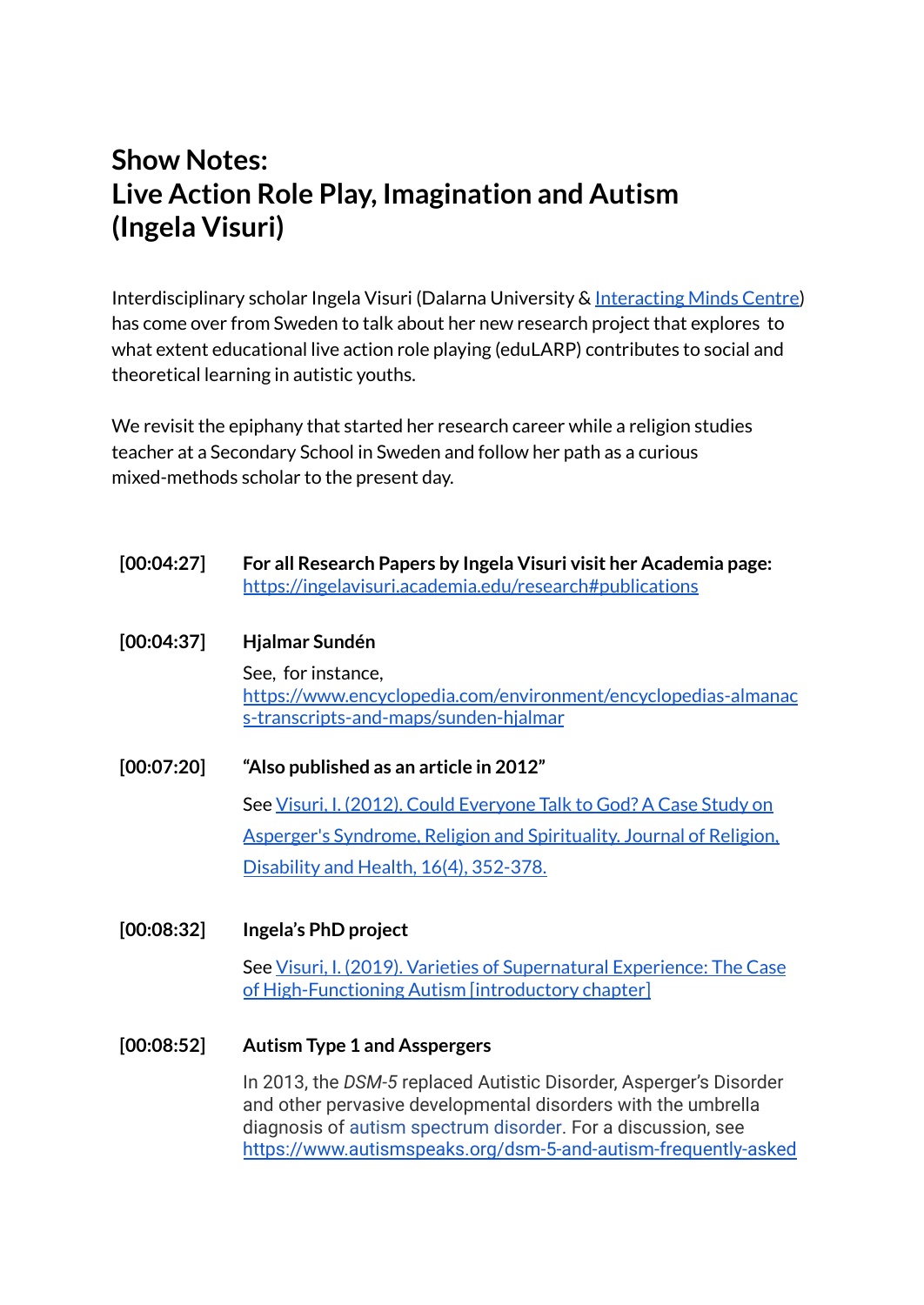# **Show Notes: Live Action Role Play, Imagination and Autism (Ingela Visuri)**

Interdisciplinary scholar Ingela Visuri (Dalarna University & [Interacting](https://interactingminds.au.dk/) Minds Centre) has come over from Sweden to talk about her new research project that explores to what extent educational live action role playing (eduLARP) contributes to social and theoretical learning in autistic youths.

We revisit the epiphany that started her research career while a religion studies teacher at a Secondary School in Sweden and follow her path as a curious mixed-methods scholar to the present day.

| [00:04:27] | For all Research Papers by Ingela Visuri visit her Academia page:<br>https://ingelavisuri.academia.edu/research#publications  |  |  |  |
|------------|-------------------------------------------------------------------------------------------------------------------------------|--|--|--|
| [00:04:37] | Hjalmar Sundén                                                                                                                |  |  |  |
|            | See, for instance,<br>https://www.encyclopedia.com/environment/encyclopedias-almanac<br>s-transcripts-and-maps/sunden-hjalmar |  |  |  |
| [00:07:20] | "Also published as an article in 2012"                                                                                        |  |  |  |
|            | See Visuri, I. (2012). Could Everyone Talk to God? A Case Study on                                                            |  |  |  |
|            | <b>Asperger's Syndrome, Religion and Spirituality, Journal of Religion,</b>                                                   |  |  |  |
|            | Disability and Health, 16(4), 352-378.                                                                                        |  |  |  |
|            |                                                                                                                               |  |  |  |

**[00:08:32] Ingela's PhD project**

See Visuri, I. (2019). Varieties of [Supernatural](https://www.researchgate.net/publication/333199380_Visuri_I_2019_Varieties_of_Supernatural_Experience_the_Case_of_High-Functioning_Autism_introductory_chapter) Experience: The Case of [High-Functioning](https://www.researchgate.net/publication/333199380_Visuri_I_2019_Varieties_of_Supernatural_Experience_the_Case_of_High-Functioning_Autism_introductory_chapter) Autism [introductory chapter]

**[00:08:52] Autism Type 1 and Asspergers**

In 2013, the *DSM-5* replaced Autistic Disorder, Asperger's Disorder and other pervasive developmental disorders with the umbrella diagnosis of [autism spectrum disorder.](http://www.dsm5.org/Documents/Autism%20Spectrum%20Disorder%20Fact%20Sheet.pdf) For a discussion, see [https://www.autismspeaks.org/dsm-5-and-autism-frequently-asked](https://www.autismspeaks.org/dsm-5-and-autism-frequently-asked-questions#:~:text=Why%20was%20the%20new%20edition,More%20accurate%20diagnosis)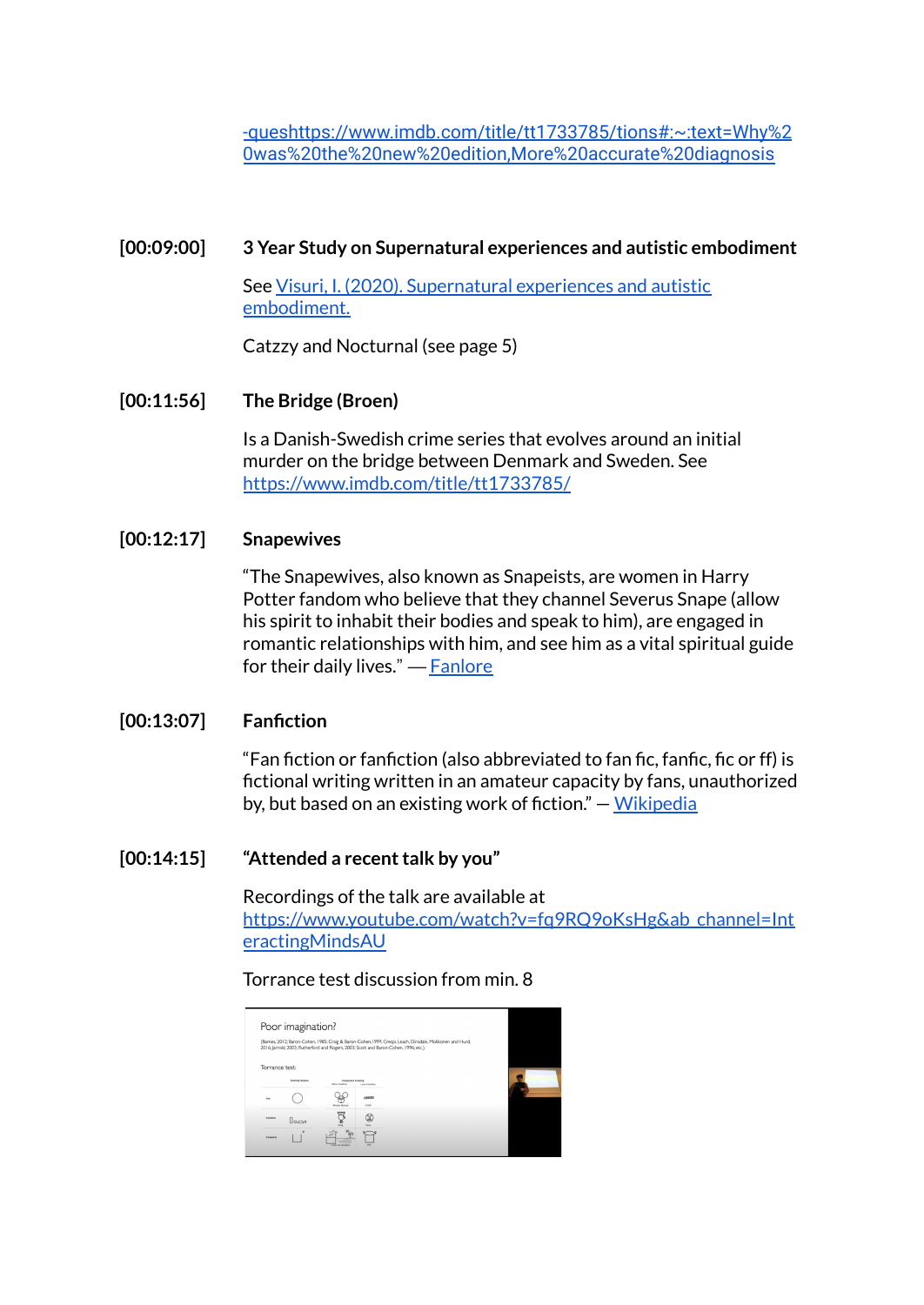[-queshttps://www.imdb.com/title/tt1733785/tions#:~:text=Why%2](https://www.autismspeaks.org/dsm-5-and-autism-frequently-asked-questions#:~:text=Why%20was%20the%20new%20edition,More%20accurate%20diagnosis) [0was%20the%20new%20edition,More%20accurate%20diagnosis](https://www.autismspeaks.org/dsm-5-and-autism-frequently-asked-questions#:~:text=Why%20was%20the%20new%20edition,More%20accurate%20diagnosis)

#### **[00:09:00] 3 Year Study on Supernatural experiences and autistic embodiment**

See Visuri, I. (2020). [Supernatural](https://www.researchgate.net/publication/340285137_Visuri_I_2020_Supernatural_experiences_and_autistic_embodiment_in_Tidsskrift_for_Religionslaererforeningen_for_Gymnasiet_og_HF) experiences and autistic [embodiment.](https://www.researchgate.net/publication/340285137_Visuri_I_2020_Supernatural_experiences_and_autistic_embodiment_in_Tidsskrift_for_Religionslaererforeningen_for_Gymnasiet_og_HF)

Catzzy and Nocturnal (see page 5)

## **[00:11:56] The Bridge (Broen)**

Is a Danish-Swedish crime series that evolves around an initial murder on the bridge between Denmark and Sweden. See <https://www.imdb.com/title/tt1733785/>

#### **[00:12:17] Snapewives**

"The Snapewives, also known as Snapeists, are women in Harry Potter fandom who believe that they channel Severus Snape (allow his spirit to inhabit their bodies and speak to him), are engaged in romantic relationships with him, and see him as a vital spiritual guide for their daily lives." — [Fanlore](https://fanlore.org/wiki/Snapewives#:~:text=The%20Snapewives%2C%20also%20known%20as,guide%20for%20their%20daily%20lives.)

## **[00:13:07] Fanfiction**

"Fan fiction or fanfiction (also abbreviated to fan fic, fanfic, fic or ff) is fictional writing written in an amateur capacity by fans, unauthorized by, but based on an existing work of fiction." — [Wikipedia](https://en.wikipedia.org/wiki/Fan_fiction)

## $[00:14:15]$  "Attended a recent talk by you"

Recordings of the talk are available at [https://www.youtube.com/watch?v=fq9RQ9oKsHg&ab\\_channel=Int](https://www.youtube.com/watch?v=fq9RQ9oKsHg&ab_channel=InteractingMindsAU) [eractingMindsAU](https://www.youtube.com/watch?v=fq9RQ9oKsHg&ab_channel=InteractingMindsAU)

## Torrance test discussion from min. 8

|                | Poor imagination?      |                                              |               |                                                                                                                                                                                                  |  |
|----------------|------------------------|----------------------------------------------|---------------|--------------------------------------------------------------------------------------------------------------------------------------------------------------------------------------------------|--|
|                |                        |                                              |               | (Barnes, 2012; Baron-Cohen, 1985; Craig & Baron-Cohen, 1999; Crespi, Leach, Dinsdale, Mokkonen and Hurd,<br>2016; Jarrold, 2003; Rutherford and Rogers, 2003; Scott and Baron-Cohen, 1996; etc.) |  |
| Torrance test: |                        |                                              |               |                                                                                                                                                                                                  |  |
|                | <b>Starting Shopes</b> | <b>Constituted Crowling</b><br>Mare Creative | Less Creative |                                                                                                                                                                                                  |  |
| <b>She</b>     |                        |                                              | $c$ mmo       |                                                                                                                                                                                                  |  |
| Forester       |                        | Mickey Moune                                 | Chase.        |                                                                                                                                                                                                  |  |
|                | $\mathbb{R}$           |                                              | Fair          |                                                                                                                                                                                                  |  |
| Complet        |                        |                                              |               |                                                                                                                                                                                                  |  |